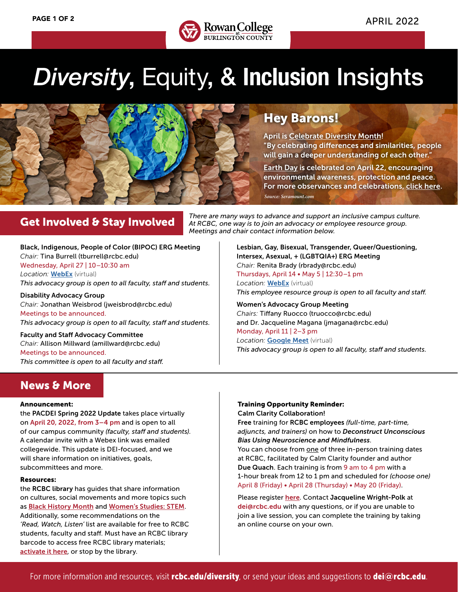

## *Diversity*, Equity, & **Inclusion** Insights



## Hey Barons!

April is [Celebrate Diversity Month!](https://www.linkedin.com/pulse/april-diversity-month-six-ways-celebrate-garrett-she-her-hers-?trk=public_profile_article_view) "By celebrating differences and similarities, people will gain a deeper understanding of each other."

[Earth Day](https://www.earthday.org) is celebrated on April 22, encouraging environmental awareness, protection and peace. For more observances and celebrations, [click here.](https://www.rcbc.edu/sites/default/files/Documents/diversity/Cultural%20Observances%20and%20Causes%20Calendar_web%20Compliant.pdf) *Source: Seramount.com*

## Get Involved & Stay Involved

*There are many ways to advance and support an inclusive campus culture. At RCBC, one way is to join an advocacy or employee resource group. Meetings and chair contact information below.*

Black, Indigenous, People of Color (BIPOC) ERG Meeting *Chair:* Tina Burrell (tburrell@rcbc.edu) Wednesday, April 27 | 10–10:30 am *Location:* [WebEx](https://rcbc2.webex.com/rcbc2/j.php?MTID=me52e1cc859036bb5f74b7009b48e0538) (virtual) *This advocacy group is open to all faculty, staff and students.*

Disability Advocacy Group *Chair:* Jonathan Weisbrod (jweisbrod@rcbc.edu) Meetings to be announced. *This advocacy group is open to all faculty, staff and students.*

Faculty and Staff Advocacy Committee *Chair:* Allison Millward (amillward@rcbc.edu) Meetings to be announced. *This committee is open to all faculty and staff.* Lesbian, Gay, Bisexual, Transgender, Queer/Questioning, Intersex, Asexual, + (LGBTQIA+) ERG Meeting *Chair:* Renita Brady (rbrady@rcbc.edu) Thursdays, April 14 • May 5 | 12:30–1 pm *Location:* [WebEx](https://rcbc2.webex.com/rcbc2/j.php?MTID=m2d1b098d6bbb16cb9025103367f9a9a2) (virtual) *This employee resource group is open to all faculty and staff.*

Women's Advocacy Group Meeting *Chairs:* Tiffany Ruocco (truocco@rcbc.edu) and Dr. Jacqueline Magana (jmagana@rcbc.edu) Monday, April 11 | 2–3 pm **Location: [Google Meet](https://meet.google.com/aro-usfs-qiq)** (virtual) *This advocacy group is open to all faculty, staff and students.*

## **News & More**

#### Announcement:

the PACDEI Spring 2022 Update takes place virtually on April 20, 2022, from 3–4 pm and is open to all of our campus community *(faculty, staff and students)*. A calendar invite with a Webex link was emailed collegewide. This update is DEI-focused, and we will share information on initiatives, goals, subcommittees and more.

#### Resources:

the RCBC library has guides that share information on cultures, social movements and more topics such as [Black History Month](https://rcbc.libguides.com/blackhistory) and [Women's Studies: STEM](https://rcbc.libguides.com/c.php?g=1008355&p=8753410). Additionally, some recommendations on the *'Read, Watch, Listen'* list are available for free to RCBC students, faculty and staff. Must have an RCBC library barcode to access free RCBC library materials; [activate it here](https://www.rcbc.edu/library/barcodes), or stop by the library.

#### Training Opportunity Reminder:

Calm Clarity Collaboration!

Free training for RCBC employees *(full-time, part-time, adjuncts, and trainers)* on how to *Deconstruct Unconscious Bias Using Neuroscience and Mindfulness*.

You can choose from one of three in-person training dates at RCBC, facilitated by Calm Clarity founder and author Due Quach. Each training is from 9 am to 4 pm with a 1-hour break from 12 to 1 pm and scheduled for *(choose one)* April 8 (Friday) • April 28 (Thursday) • May 20 (Friday).

Please register [here](https://my.rcbc.edu/deconstruct-unconscious-bias). Contact Jacqueline Wright-Polk at dei@rcbc.edu with any questions, or if you are unable to join a live session, you can complete the training by taking an online course on your own.